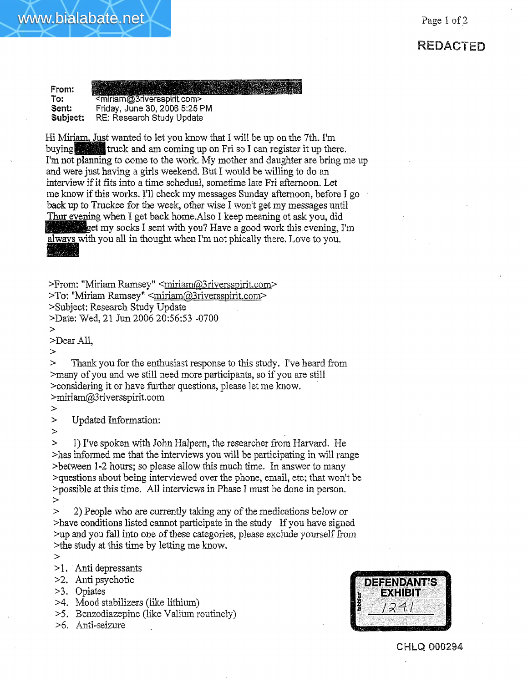## **REDACTED**

**From:** To: <miriam@3riversspirit.com> **Sent:** .Friday, June 30, 2008 5:25 PM **Subject: RE:** Research Study Update

Hi Miriam, Just wanted to let you know that I will be up on the 7th. I'm buying truck and am coming up on Fri so I can register it up there. I'm not planning to come to the work. My mother and daughter are bring me up and were just having a girls weekend. But I would be willing to do an interview if it fits into a time schedual, sometime late Fri afternoon. Let me know if this works. I'll check my messages Sunday afternoon, before I go back up to Truckee for the week, other wise I won't get my messages until Thur evening when I get back home.Also I keep meaning ot ask you, did get my socks I sent with you? Have a good work this evening, I'm always with you all in thought when I'm not phically there. Love to you.

>From: "Miriam Ramsey" <miriam@3riversspirit.com> >To: "Miriam Ramsey" <miriam@3riversspirit.com> >Subject: Research Study Update

>Date: Wed, 21 Jun 2005 20:56:53 -0700

> >Dear All,

 $\geq$ 

www.bialabate.net

> Thank you for the enthusiast response to this study. I've heard from >many of you and we still need more participants, so if you are still >considering it or have further questions, please let me know. >miriam@3riversspirit.com

>

> Updated Information:

>

> 1) I've spoken with John Halpem, the researcher from Harvard. He >has informed me that the interviews you will be participating in will range >between 1-2 hours; so please allow this much time. In answer to many >questions about being interviewed over the phone, email, etc; that won't be >possible at this time. AI! interviews in Phase I must be done in person. >

> 2) People who are currently taking any of the medications below or >have conditions listed cannot participate in the study If you have signed >up and you fall into one of these categories, please exclude yourself from >the study at this time by letting me know.

>

>!. Anti depressants

>2. Anti psychotic

>3. Opiates

>4. Mood stabilizers (like lithium)

>5. Benzodiazepine (like Valium routinely)

>6. Anti-seizure



CHLQ 000294